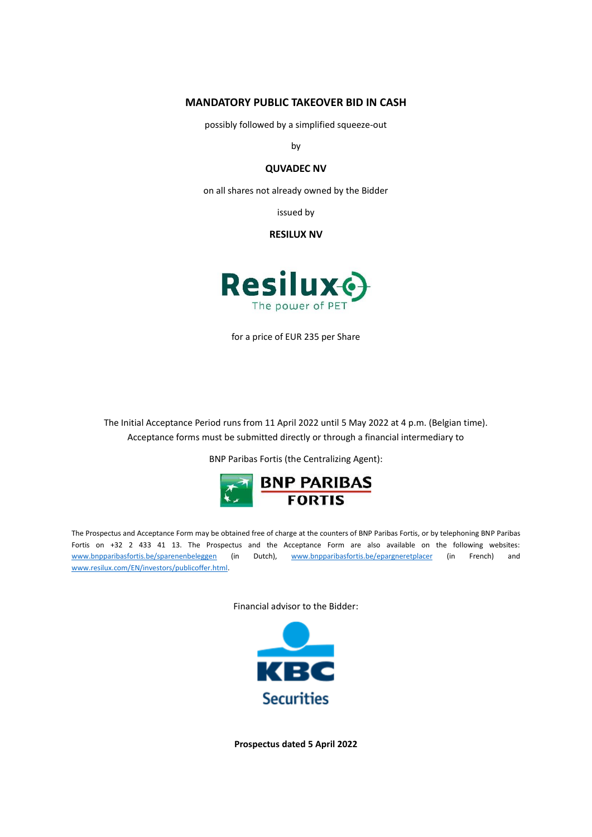# **MANDATORY PUBLIC TAKEOVER BID IN CASH**

possibly followed by a simplified squeeze-out

by

# **QUVADEC NV**

on all shares not already owned by the Bidder

issued by

**RESILUX NV**



for a price of EUR 235 per Share

The Initial Acceptance Period runs from 11 April 2022 until 5 May 2022 at 4 p.m. (Belgian time). Acceptance forms must be submitted directly or through a financial intermediary to

BNP Paribas Fortis (the Centralizing Agent):



The Prospectus and Acceptance Form may be obtained free of charge at the counters of BNP Paribas Fortis, or by telephoning BNP Paribas Fortis on +32 2 433 41 13. The Prospectus and the Acceptance Form are also available on the following websites: [www.bnpparibasfortis.be/sparenenbeleggen](http://www.bnpparibasfortis.be/sparenenbeleggen) (in Dutch), [www.bnpparibasfortis.be/epargneretplacer](http://www.bnpparibasfortis.be/epargneretplacer) (in French) and [www.resilux.com/EN/investors/publicoffer.html.](https://eur01.safelinks.protection.outlook.com/?url=https%3A%2F%2Furldefense.com%2Fv3%2F__https%3A%2Fwww.resilux.com%2FEN%2Finvestors%2Fpublicoffer.html__%3B!!Hj9Y_P0nvg!Eh_jyAc6tmRyP7pm4bQQYFbBulGbpU0roK0O4O8xR_wdnKmqVUljjJe4uvPFAjmMC3NJ4g%24&data=04%7C01%7Chenri.nelen%40argo-law.be%7Ce3224fb44cee41178ece08da1257ce64%7C40c9f0214c914d808f693ce92a744b07%7C0%7C0%7C637842465578544687%7CUnknown%7CTWFpbGZsb3d8eyJWIjoiMC4wLjAwMDAiLCJQIjoiV2luMzIiLCJBTiI6Ik1haWwiLCJXVCI6Mn0%3D%7C3000&sdata=o4qQL6eWOYUUyppFxfj0psIqoo3vOJWqRhvTBjRvVqk%3D&reserved=0)

Financial advisor to the Bidder:



**Prospectus dated 5 April 2022**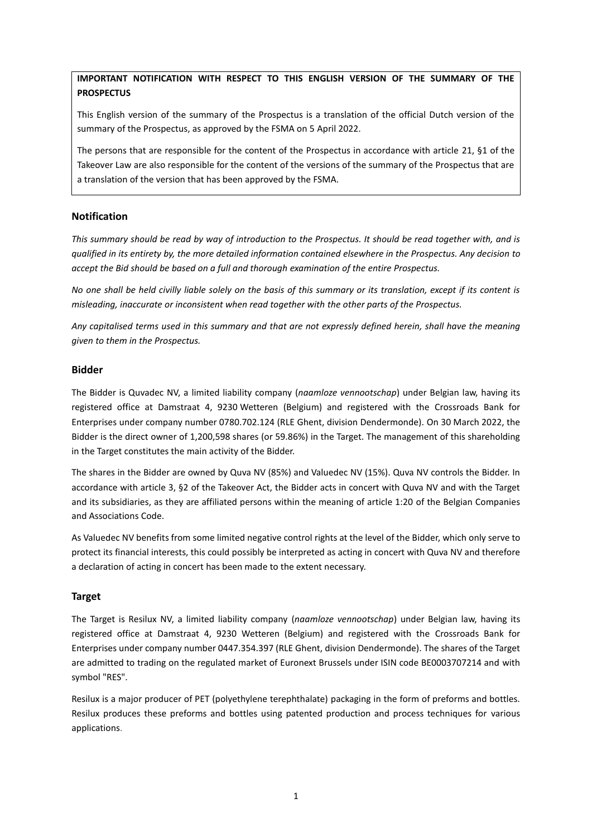# **IMPORTANT NOTIFICATION WITH RESPECT TO THIS ENGLISH VERSION OF THE SUMMARY OF THE PROSPECTUS**

This English version of the summary of the Prospectus is a translation of the official Dutch version of the summary of the Prospectus, as approved by the FSMA on 5 April 2022.

The persons that are responsible for the content of the Prospectus in accordance with article 21, §1 of the Takeover Law are also responsible for the content of the versions of the summary of the Prospectus that are a translation of the version that has been approved by the FSMA.

# **Notification**

*This summary should be read by way of introduction to the Prospectus. It should be read together with, and is qualified in its entirety by, the more detailed information contained elsewhere in the Prospectus. Any decision to accept the Bid should be based on a full and thorough examination of the entire Prospectus.*

*No one shall be held civilly liable solely on the basis of this summary or its translation, except if its content is misleading, inaccurate or inconsistent when read together with the other parts of the Prospectus.*

*Any capitalised terms used in this summary and that are not expressly defined herein, shall have the meaning given to them in the Prospectus.*

# **Bidder**

The Bidder is Quvadec NV, a limited liability company (*naamloze vennootschap*) under Belgian law, having its registered office at Damstraat 4, 9230 Wetteren (Belgium) and registered with the Crossroads Bank for Enterprises under company number 0780.702.124 (RLE Ghent, division Dendermonde). On 30 March 2022, the Bidder is the direct owner of 1,200,598 shares (or 59.86%) in the Target. The management of this shareholding in the Target constitutes the main activity of the Bidder.

The shares in the Bidder are owned by Quva NV (85%) and Valuedec NV (15%). Quva NV controls the Bidder. In accordance with article 3, §2 of the Takeover Act, the Bidder acts in concert with Quva NV and with the Target and its subsidiaries, as they are affiliated persons within the meaning of article 1:20 of the Belgian Companies and Associations Code.

As Valuedec NV benefits from some limited negative control rights at the level of the Bidder, which only serve to protect its financial interests, this could possibly be interpreted as acting in concert with Quva NV and therefore a declaration of acting in concert has been made to the extent necessary.

# **Target**

The Target is Resilux NV, a limited liability company (*naamloze vennootschap*) under Belgian law, having its registered office at Damstraat 4, 9230 Wetteren (Belgium) and registered with the Crossroads Bank for Enterprises under company number 0447.354.397 (RLE Ghent, division Dendermonde). The shares of the Target are admitted to trading on the regulated market of Euronext Brussels under ISIN code BE0003707214 and with symbol "RES".

Resilux is a major producer of PET (polyethylene terephthalate) packaging in the form of preforms and bottles. Resilux produces these preforms and bottles using patented production and process techniques for various applications.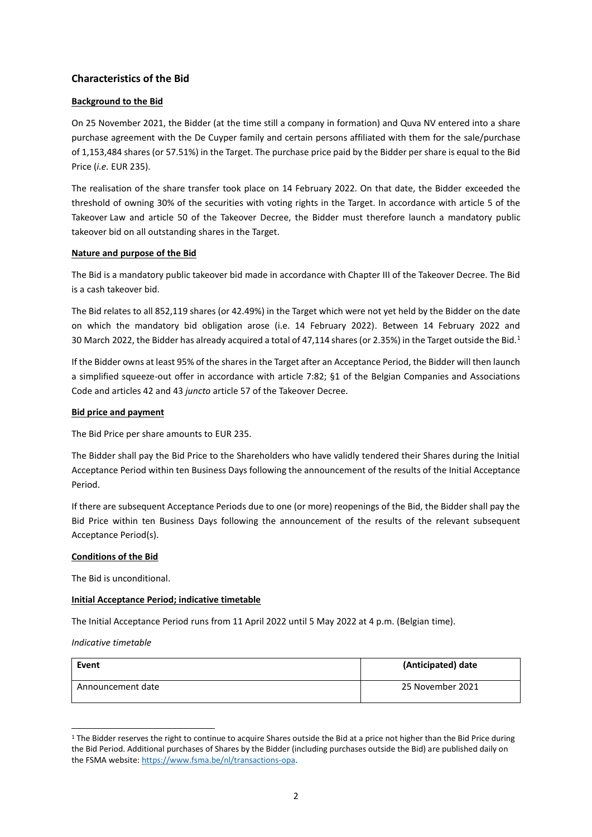# **Characteristics of the Bid**

# **Background to the Bid**

On 25 November 2021, the Bidder (at the time still a company in formation) and Quva NV entered into a share purchase agreement with the De Cuyper family and certain persons affiliated with them for the sale/purchase of 1,153,484 shares (or 57.51%) in the Target. The purchase price paid by the Bidder per share is equal to the Bid Price (*i.e.* EUR 235).

The realisation of the share transfer took place on 14 February 2022. On that date, the Bidder exceeded the threshold of owning 30% of the securities with voting rights in the Target. In accordance with article 5 of the Takeover Law and article 50 of the Takeover Decree, the Bidder must therefore launch a mandatory public takeover bid on all outstanding shares in the Target.

## **Nature and purpose of the Bid**

The Bid is a mandatory public takeover bid made in accordance with Chapter III of the Takeover Decree. The Bid is a cash takeover bid.

The Bid relates to all 852,119 shares (or 42.49%) in the Target which were not yet held by the Bidder on the date on which the mandatory bid obligation arose (i.e. 14 February 2022). Between 14 February 2022 and 30 March 2022, the Bidder has already acquired a total of 47,114 shares (or 2.35%) in the Target outside the Bid.<sup>1</sup>

If the Bidder owns at least 95% of the shares in the Target after an Acceptance Period, the Bidder will then launch a simplified squeeze-out offer in accordance with article 7:82; §1 of the Belgian Companies and Associations Code and articles 42 and 43 *juncto* article 57 of the Takeover Decree.

## **Bid price and payment**

The Bid Price per share amounts to EUR 235.

The Bidder shall pay the Bid Price to the Shareholders who have validly tendered their Shares during the Initial Acceptance Period within ten Business Days following the announcement of the results of the Initial Acceptance Period.

If there are subsequent Acceptance Periods due to one (or more) reopenings of the Bid, the Bidder shall pay the Bid Price within ten Business Days following the announcement of the results of the relevant subsequent Acceptance Period(s).

## **Conditions of the Bid**

The Bid is unconditional.

## **Initial Acceptance Period; indicative timetable**

The Initial Acceptance Period runs from 11 April 2022 until 5 May 2022 at 4 p.m. (Belgian time).

*Indicative timetable*

| Event             | (Anticipated) date |
|-------------------|--------------------|
| Announcement date | 25 November 2021   |

<sup>&</sup>lt;sup>1</sup> The Bidder reserves the right to continue to acquire Shares outside the Bid at a price not higher than the Bid Price during the Bid Period. Additional purchases of Shares by the Bidder (including purchases outside the Bid) are published daily on the FSMA website[: https://www.fsma.be/nl/transactions-opa.](https://www.fsma.be/nl/transactions-opa)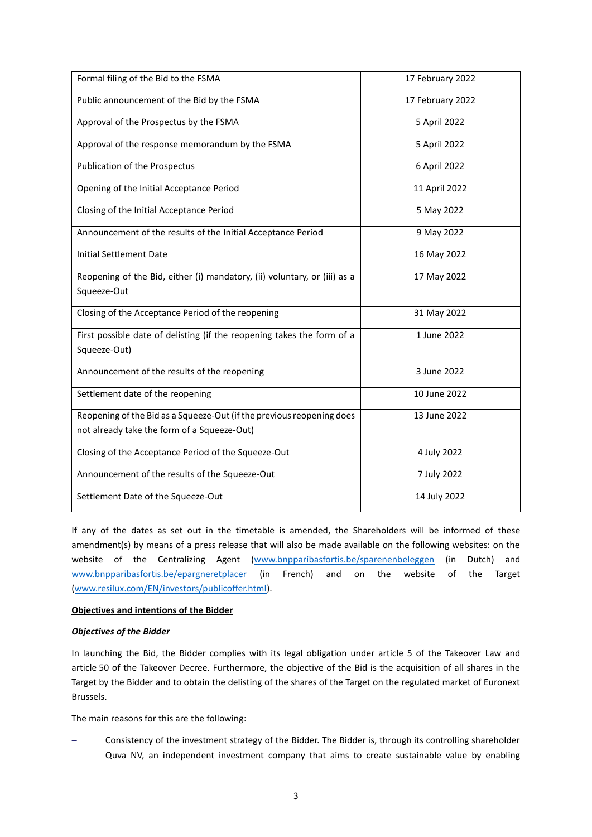| Formal filing of the Bid to the FSMA                                      | 17 February 2022 |
|---------------------------------------------------------------------------|------------------|
| Public announcement of the Bid by the FSMA                                | 17 February 2022 |
| Approval of the Prospectus by the FSMA                                    | 5 April 2022     |
| Approval of the response memorandum by the FSMA                           | 5 April 2022     |
| Publication of the Prospectus                                             | 6 April 2022     |
| Opening of the Initial Acceptance Period                                  | 11 April 2022    |
| Closing of the Initial Acceptance Period                                  | 5 May 2022       |
| Announcement of the results of the Initial Acceptance Period              | 9 May 2022       |
| <b>Initial Settlement Date</b>                                            | 16 May 2022      |
| Reopening of the Bid, either (i) mandatory, (ii) voluntary, or (iii) as a | 17 May 2022      |
| Squeeze-Out                                                               |                  |
| Closing of the Acceptance Period of the reopening                         | 31 May 2022      |
| First possible date of delisting (if the reopening takes the form of a    | 1 June 2022      |
| Squeeze-Out)                                                              |                  |
| Announcement of the results of the reopening                              | 3 June 2022      |
| Settlement date of the reopening                                          | 10 June 2022     |
| Reopening of the Bid as a Squeeze-Out (if the previous reopening does     | 13 June 2022     |
| not already take the form of a Squeeze-Out)                               |                  |
| Closing of the Acceptance Period of the Squeeze-Out                       | 4 July 2022      |
| Announcement of the results of the Squeeze-Out                            | 7 July 2022      |
| Settlement Date of the Squeeze-Out                                        | 14 July 2022     |

If any of the dates as set out in the timetable is amended, the Shareholders will be informed of these amendment(s) by means of a press release that will also be made available on the following websites: on the website of the Centralizing Agent [\(www.bnpparibasfortis.be/sparenenbeleggen](http://www.bnpparibasfortis.be/sparenenbeleggen) (in Dutch) and [www.bnpparibasfortis.be/epargneretplacer](http://www.bnpparibasfortis.be/epargneretplacer) (in French) and on the website of the Target [\(www.resilux.com/EN/investors/publicoffer.html\)](https://eur01.safelinks.protection.outlook.com/?url=https%3A%2F%2Furldefense.com%2Fv3%2F__https%3A%2Fwww.resilux.com%2FEN%2Finvestors%2Fpublicoffer.html__%3B!!Hj9Y_P0nvg!Eh_jyAc6tmRyP7pm4bQQYFbBulGbpU0roK0O4O8xR_wdnKmqVUljjJe4uvPFAjmMC3NJ4g%24&data=04%7C01%7Chenri.nelen%40argo-law.be%7Ce3224fb44cee41178ece08da1257ce64%7C40c9f0214c914d808f693ce92a744b07%7C0%7C0%7C637842465578544687%7CUnknown%7CTWFpbGZsb3d8eyJWIjoiMC4wLjAwMDAiLCJQIjoiV2luMzIiLCJBTiI6Ik1haWwiLCJXVCI6Mn0%3D%7C3000&sdata=o4qQL6eWOYUUyppFxfj0psIqoo3vOJWqRhvTBjRvVqk%3D&reserved=0).

## **Objectives and intentions of the Bidder**

## *Objectives of the Bidder*

In launching the Bid, the Bidder complies with its legal obligation under article 5 of the Takeover Law and article 50 of the Takeover Decree. Furthermore, the objective of the Bid is the acquisition of all shares in the Target by the Bidder and to obtain the delisting of the shares of the Target on the regulated market of Euronext Brussels.

The main reasons for this are the following:

Consistency of the investment strategy of the Bidder. The Bidder is, through its controlling shareholder Quva NV, an independent investment company that aims to create sustainable value by enabling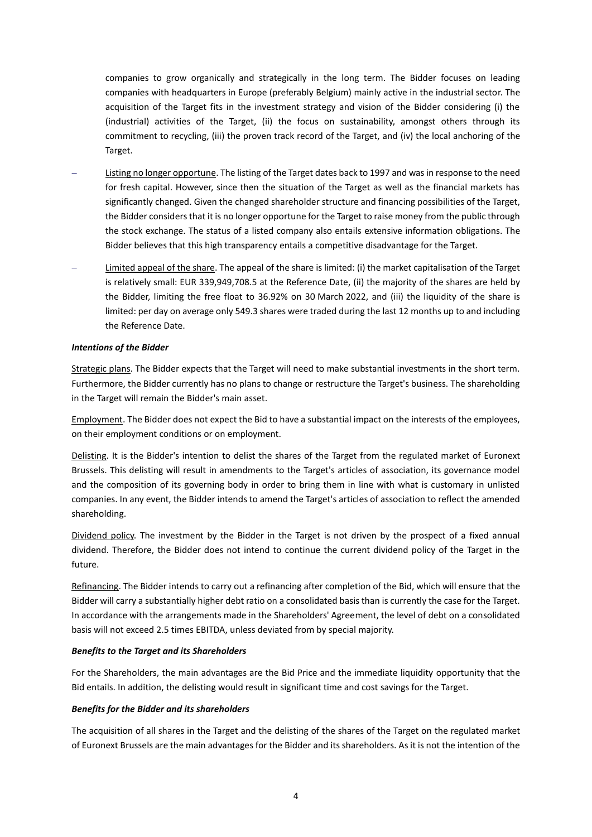companies to grow organically and strategically in the long term. The Bidder focuses on leading companies with headquarters in Europe (preferably Belgium) mainly active in the industrial sector. The acquisition of the Target fits in the investment strategy and vision of the Bidder considering (i) the (industrial) activities of the Target, (ii) the focus on sustainability, amongst others through its commitment to recycling, (iii) the proven track record of the Target, and (iv) the local anchoring of the Target.

- − Listing no longer opportune. The listing of the Target dates back to 1997 and was in response to the need for fresh capital. However, since then the situation of the Target as well as the financial markets has significantly changed. Given the changed shareholder structure and financing possibilities of the Target, the Bidder considers that it is no longer opportune for the Target to raise money from the public through the stock exchange. The status of a listed company also entails extensive information obligations. The Bidder believes that this high transparency entails a competitive disadvantage for the Target.
- − Limited appeal of the share. The appeal of the share is limited: (i) the market capitalisation of the Target is relatively small: EUR 339,949,708.5 at the Reference Date, (ii) the majority of the shares are held by the Bidder, limiting the free float to 36.92% on 30 March 2022, and (iii) the liquidity of the share is limited: per day on average only 549.3 shares were traded during the last 12 months up to and including the Reference Date.

### *Intentions of the Bidder*

Strategic plans. The Bidder expects that the Target will need to make substantial investments in the short term. Furthermore, the Bidder currently has no plans to change or restructure the Target's business. The shareholding in the Target will remain the Bidder's main asset.

Employment. The Bidder does not expect the Bid to have a substantial impact on the interests of the employees, on their employment conditions or on employment.

Delisting. It is the Bidder's intention to delist the shares of the Target from the regulated market of Euronext Brussels. This delisting will result in amendments to the Target's articles of association, its governance model and the composition of its governing body in order to bring them in line with what is customary in unlisted companies. In any event, the Bidder intends to amend the Target's articles of association to reflect the amended shareholding.

Dividend policy. The investment by the Bidder in the Target is not driven by the prospect of a fixed annual dividend. Therefore, the Bidder does not intend to continue the current dividend policy of the Target in the future.

Refinancing. The Bidder intends to carry out a refinancing after completion of the Bid, which will ensure that the Bidder will carry a substantially higher debt ratio on a consolidated basis than is currently the case for the Target. In accordance with the arrangements made in the Shareholders' Agreement, the level of debt on a consolidated basis will not exceed 2.5 times EBITDA, unless deviated from by special majority.

#### *Benefits to the Target and its Shareholders*

For the Shareholders, the main advantages are the Bid Price and the immediate liquidity opportunity that the Bid entails. In addition, the delisting would result in significant time and cost savings for the Target.

#### *Benefits for the Bidder and its shareholders*

The acquisition of all shares in the Target and the delisting of the shares of the Target on the regulated market of Euronext Brussels are the main advantages for the Bidder and its shareholders. As it is not the intention of the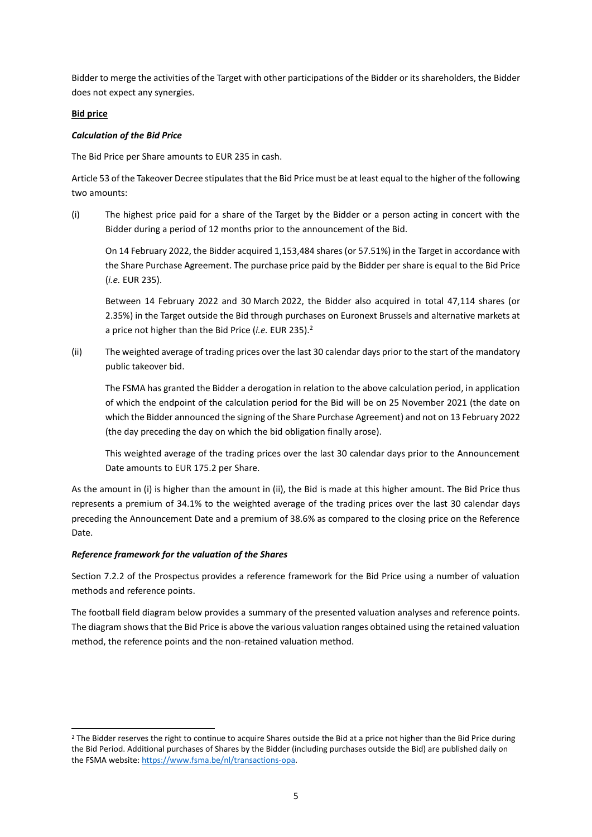Bidder to merge the activities of the Target with other participations of the Bidder or its shareholders, the Bidder does not expect any synergies.

# **Bid price**

# *Calculation of the Bid Price*

The Bid Price per Share amounts to EUR 235 in cash.

Article 53 of the Takeover Decree stipulates that the Bid Price must be at least equal to the higher of the following two amounts:

(i) The highest price paid for a share of the Target by the Bidder or a person acting in concert with the Bidder during a period of 12 months prior to the announcement of the Bid.

On 14 February 2022, the Bidder acquired 1,153,484 shares (or 57.51%) in the Target in accordance with the Share Purchase Agreement. The purchase price paid by the Bidder per share is equal to the Bid Price (*i.e.* EUR 235).

Between 14 February 2022 and 30 March 2022, the Bidder also acquired in total 47,114 shares (or 2.35%) in the Target outside the Bid through purchases on Euronext Brussels and alternative markets at a price not higher than the Bid Price (*i.e.* EUR 235).<sup>2</sup>

(ii) The weighted average of trading prices over the last 30 calendar days prior to the start of the mandatory public takeover bid.

The FSMA has granted the Bidder a derogation in relation to the above calculation period, in application of which the endpoint of the calculation period for the Bid will be on 25 November 2021 (the date on which the Bidder announced the signing of the Share Purchase Agreement) and not on 13 February 2022 (the day preceding the day on which the bid obligation finally arose).

This weighted average of the trading prices over the last 30 calendar days prior to the Announcement Date amounts to EUR 175.2 per Share.

As the amount in (i) is higher than the amount in (ii), the Bid is made at this higher amount. The Bid Price thus represents a premium of 34.1% to the weighted average of the trading prices over the last 30 calendar days preceding the Announcement Date and a premium of 38.6% as compared to the closing price on the Reference Date.

# *Reference framework for the valuation of the Shares*

Section 7.2.2 of the Prospectus provides a reference framework for the Bid Price using a number of valuation methods and reference points.

The football field diagram below provides a summary of the presented valuation analyses and reference points. The diagram shows that the Bid Price is above the various valuation ranges obtained using the retained valuation method, the reference points and the non-retained valuation method.

<sup>&</sup>lt;sup>2</sup> The Bidder reserves the right to continue to acquire Shares outside the Bid at a price not higher than the Bid Price during the Bid Period. Additional purchases of Shares by the Bidder (including purchases outside the Bid) are published daily on the FSMA website[: https://www.fsma.be/nl/transactions-opa.](https://www.fsma.be/nl/transactions-opa)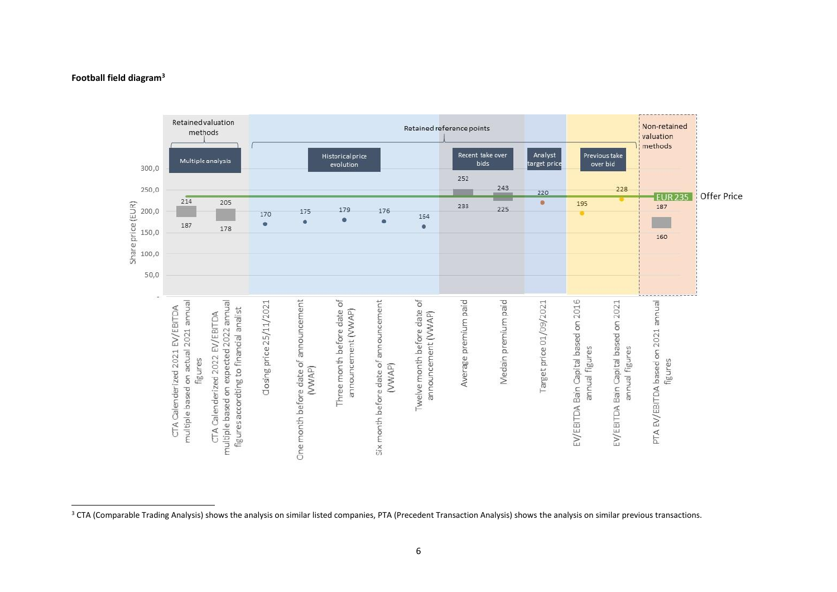

# **Football field diagram<sup>3</sup>**

<sup>&</sup>lt;sup>3</sup> CTA (Comparable Trading Analysis) shows the analysis on similar listed companies, PTA (Precedent Transaction Analysis) shows the analysis on similar previous transactions.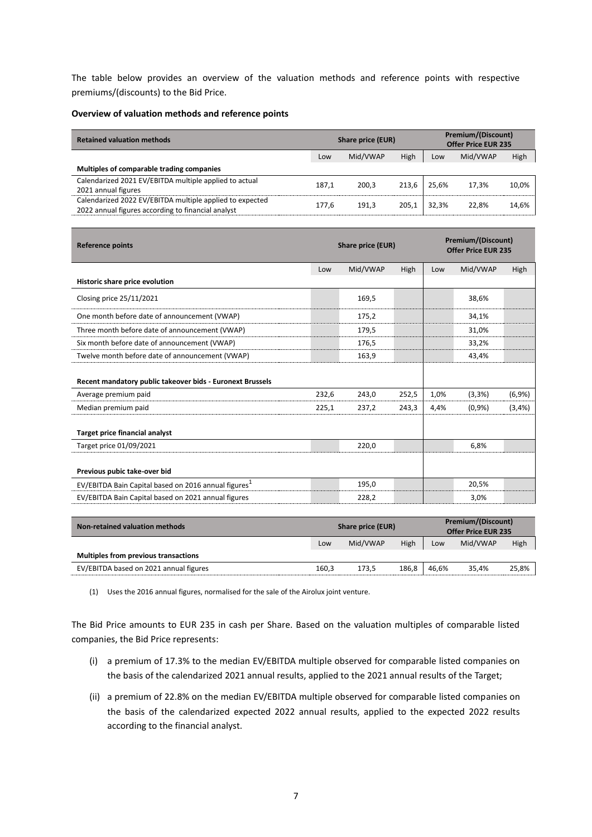The table below provides an overview of the valuation methods and reference points with respective premiums/(discounts) to the Bid Price.

### **Overview of valuation methods and reference points**

| <b>Retained valuation methods</b>                                                                              | <b>Share price (EUR)</b> |          |       | <b>Premium/(Discount)</b><br><b>Offer Price EUR 235</b> |          |       |  |
|----------------------------------------------------------------------------------------------------------------|--------------------------|----------|-------|---------------------------------------------------------|----------|-------|--|
|                                                                                                                | Low                      | Mid/VWAP | High  | Low                                                     | Mid/VWAP | High  |  |
| Multiples of comparable trading companies                                                                      |                          |          |       |                                                         |          |       |  |
| Calendarized 2021 EV/EBITDA multiple applied to actual<br>2021 annual figures                                  | 187.1                    | 200.3    | 213,6 | 25.6%                                                   | 17.3%    | 10,0% |  |
| Calendarized 2022 EV/EBITDA multiple applied to expected<br>2022 annual figures according to financial analyst | 177.6                    | 191,3    | 205,1 | 32.3%                                                   | 22,8%    | 14,6% |  |

| <b>Reference points</b>                                          |       | Share price (EUR) |       |      | <b>Premium/(Discount)</b><br><b>Offer Price EUR 235</b> |         |  |  |
|------------------------------------------------------------------|-------|-------------------|-------|------|---------------------------------------------------------|---------|--|--|
|                                                                  | Low   | Mid/VWAP          | High  | Low  | Mid/VWAP                                                | High    |  |  |
| Historic share price evolution                                   |       |                   |       |      |                                                         |         |  |  |
| Closing price 25/11/2021                                         |       | 169,5             |       |      | 38,6%                                                   |         |  |  |
| One month before date of announcement (VWAP)                     |       | 175,2             |       |      | 34,1%                                                   |         |  |  |
| Three month before date of announcement (VWAP)                   |       | 179,5             |       |      | 31,0%                                                   |         |  |  |
| Six month before date of announcement (VWAP)                     |       | 176,5             |       |      | 33,2%                                                   |         |  |  |
| Twelve month before date of announcement (VWAP)                  |       | 163,9             |       |      | 43,4%                                                   |         |  |  |
| Recent mandatory public takeover bids - Euronext Brussels        |       |                   |       |      |                                                         |         |  |  |
| Average premium paid                                             | 232,6 | 243,0             | 252,5 | 1,0% | (3,3%)                                                  | (6,9%   |  |  |
| Median premium paid                                              | 225,1 | 237,2             | 243,3 | 4,4% | (0.9%                                                   | (3,4% ) |  |  |
| <b>Target price financial analyst</b>                            |       |                   |       |      |                                                         |         |  |  |
| Target price 01/09/2021                                          |       | 220,0             |       |      | 6,8%                                                    |         |  |  |
| Previous pubic take-over bid                                     |       |                   |       |      |                                                         |         |  |  |
|                                                                  |       |                   |       |      |                                                         |         |  |  |
| EV/EBITDA Bain Capital based on 2016 annual figures <sup>1</sup> |       | 195,0             |       |      | 20,5%                                                   |         |  |  |

| Non-retained valuation methods              | Share price (EUR) |          |       | Premium/(Discount)<br><b>Offer Price EUR 235</b> |          |       |
|---------------------------------------------|-------------------|----------|-------|--------------------------------------------------|----------|-------|
|                                             | Low               | Mid/VWAP | High  | Low                                              | Mid/VWAP | High  |
| <b>Multiples from previous transactions</b> |                   |          |       |                                                  |          |       |
| EV/EBITDA based on 2021 annual figures      | 160,3             | 173,5    | 186,8 | 46.6%                                            | 35.4%    | 25,8% |

(1) Uses the 2016 annual figures, normalised for the sale of the Airolux joint venture.

The Bid Price amounts to EUR 235 in cash per Share. Based on the valuation multiples of comparable listed companies, the Bid Price represents:

- (i) a premium of 17.3% to the median EV/EBITDA multiple observed for comparable listed companies on the basis of the calendarized 2021 annual results, applied to the 2021 annual results of the Target;
- (ii) a premium of 22.8% on the median EV/EBITDA multiple observed for comparable listed companies on the basis of the calendarized expected 2022 annual results, applied to the expected 2022 results according to the financial analyst.